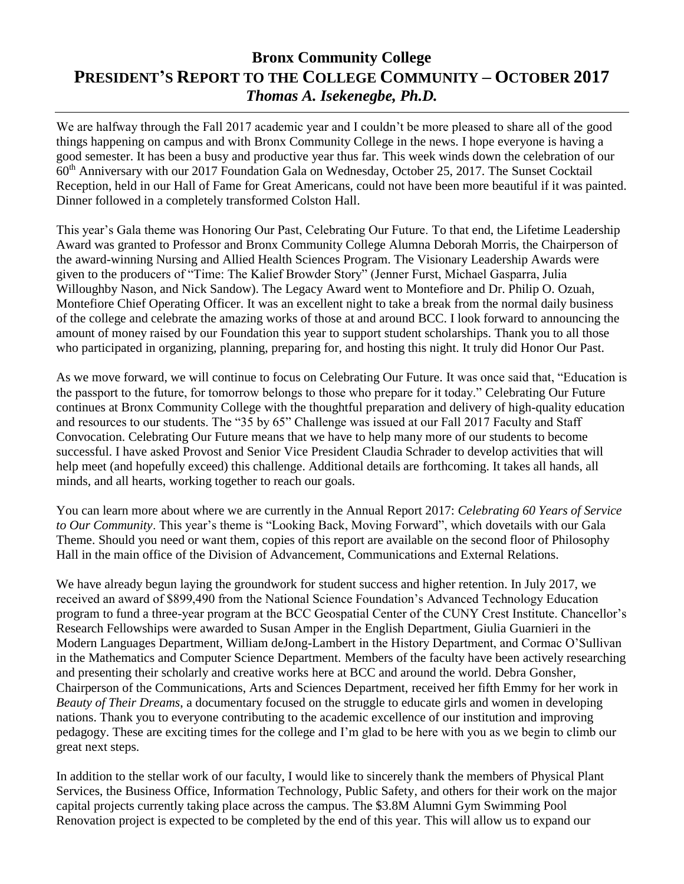## **Bronx Community College PRESIDENT'S REPORT TO THE COLLEGE COMMUNITY – OCTOBER 2017** *Thomas A. Isekenegbe, Ph.D.*

We are halfway through the Fall 2017 academic year and I couldn't be more pleased to share all of the good things happening on campus and with Bronx Community College in the news. I hope everyone is having a good semester. It has been a busy and productive year thus far. This week winds down the celebration of our 60th Anniversary with our 2017 Foundation Gala on Wednesday, October 25, 2017. The Sunset Cocktail Reception, held in our Hall of Fame for Great Americans, could not have been more beautiful if it was painted. Dinner followed in a completely transformed Colston Hall.

This year's Gala theme was Honoring Our Past, Celebrating Our Future. To that end, the Lifetime Leadership Award was granted to Professor and Bronx Community College Alumna Deborah Morris, the Chairperson of the award-winning Nursing and Allied Health Sciences Program. The Visionary Leadership Awards were given to the producers of "Time: The Kalief Browder Story" (Jenner Furst, Michael Gasparra, Julia Willoughby Nason, and Nick Sandow). The Legacy Award went to Montefiore and Dr. Philip O. Ozuah, Montefiore Chief Operating Officer. It was an excellent night to take a break from the normal daily business of the college and celebrate the amazing works of those at and around BCC. I look forward to announcing the amount of money raised by our Foundation this year to support student scholarships. Thank you to all those who participated in organizing, planning, preparing for, and hosting this night. It truly did Honor Our Past.

As we move forward, we will continue to focus on Celebrating Our Future. It was once said that, "Education is the passport to the future, for tomorrow belongs to those who prepare for it today." Celebrating Our Future continues at Bronx Community College with the thoughtful preparation and delivery of high-quality education and resources to our students. The "35 by 65" Challenge was issued at our Fall 2017 Faculty and Staff Convocation. Celebrating Our Future means that we have to help many more of our students to become successful. I have asked Provost and Senior Vice President Claudia Schrader to develop activities that will help meet (and hopefully exceed) this challenge. Additional details are forthcoming. It takes all hands, all minds, and all hearts, working together to reach our goals.

You can learn more about where we are currently in the Annual Report 2017: *Celebrating 60 Years of Service to Our Community*. This year's theme is "Looking Back, Moving Forward", which dovetails with our Gala Theme. Should you need or want them, copies of this report are available on the second floor of Philosophy Hall in the main office of the Division of Advancement, Communications and External Relations.

We have already begun laying the groundwork for student success and higher retention. In July 2017, we received an award of \$899,490 from the National Science Foundation's Advanced Technology Education program to fund a three-year program at the BCC Geospatial Center of the CUNY Crest Institute. Chancellor's Research Fellowships were awarded to Susan Amper in the English Department, Giulia Guarnieri in the Modern Languages Department, William deJong-Lambert in the History Department, and Cormac O'Sullivan in the Mathematics and Computer Science Department. Members of the faculty have been actively researching and presenting their scholarly and creative works here at BCC and around the world. Debra Gonsher, Chairperson of the Communications, Arts and Sciences Department, received her fifth Emmy for her work in *Beauty of Their Dreams*, a documentary focused on the struggle to educate girls and women in developing nations. Thank you to everyone contributing to the academic excellence of our institution and improving pedagogy. These are exciting times for the college and I'm glad to be here with you as we begin to climb our great next steps.

In addition to the stellar work of our faculty, I would like to sincerely thank the members of Physical Plant Services, the Business Office, Information Technology, Public Safety, and others for their work on the major capital projects currently taking place across the campus. The \$3.8M Alumni Gym Swimming Pool Renovation project is expected to be completed by the end of this year. This will allow us to expand our